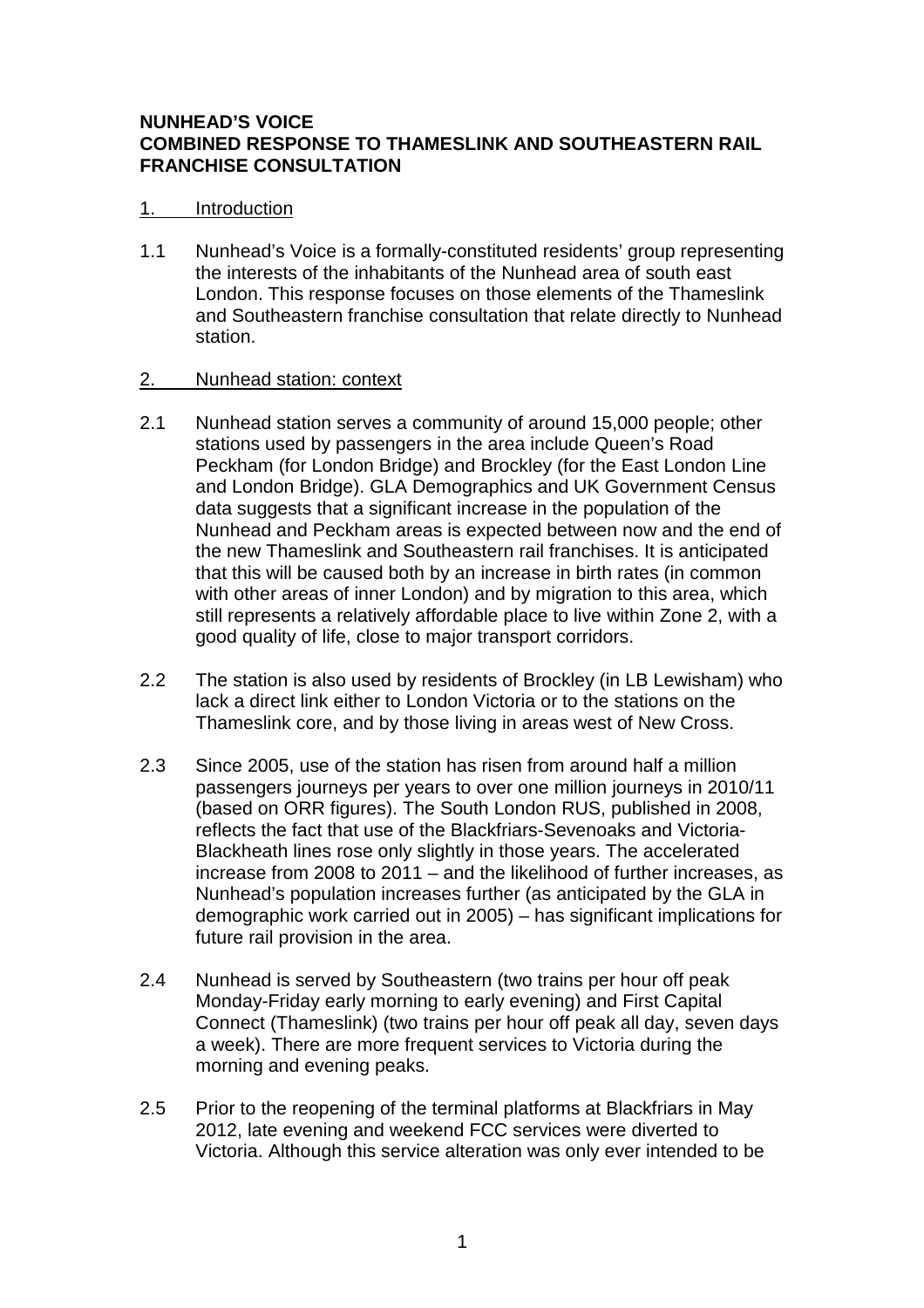# **NUNHEAD'S VOICE COMBINED RESPONSE TO THAMESLINK AND SOUTHEASTERN RAIL FRANCHISE CONSULTATION**

## 1. Introduction

1.1 Nunhead's Voice is a formally-constituted residents' group representing the interests of the inhabitants of the Nunhead area of south east London. This response focuses on those elements of the Thameslink and Southeastern franchise consultation that relate directly to Nunhead station.

### 2. Nunhead station: context

- 2.1 Nunhead station serves a community of around 15,000 people; other stations used by passengers in the area include Queen's Road Peckham (for London Bridge) and Brockley (for the East London Line and London Bridge). GLA Demographics and UK Government Census data suggests that a significant increase in the population of the Nunhead and Peckham areas is expected between now and the end of the new Thameslink and Southeastern rail franchises. It is anticipated that this will be caused both by an increase in birth rates (in common with other areas of inner London) and by migration to this area, which still represents a relatively affordable place to live within Zone 2, with a good quality of life, close to major transport corridors.
- 2.2 The station is also used by residents of Brockley (in LB Lewisham) who lack a direct link either to London Victoria or to the stations on the Thameslink core, and by those living in areas west of New Cross.
- 2.3 Since 2005, use of the station has risen from around half a million passengers journeys per years to over one million journeys in 2010/11 (based on ORR figures). The South London RUS, published in 2008, reflects the fact that use of the Blackfriars-Sevenoaks and Victoria-Blackheath lines rose only slightly in those years. The accelerated increase from 2008 to 2011 – and the likelihood of further increases, as Nunhead's population increases further (as anticipated by the GLA in demographic work carried out in 2005) – has significant implications for future rail provision in the area.
- 2.4 Nunhead is served by Southeastern (two trains per hour off peak Monday-Friday early morning to early evening) and First Capital Connect (Thameslink) (two trains per hour off peak all day, seven days a week). There are more frequent services to Victoria during the morning and evening peaks.
- 2.5 Prior to the reopening of the terminal platforms at Blackfriars in May 2012, late evening and weekend FCC services were diverted to Victoria. Although this service alteration was only ever intended to be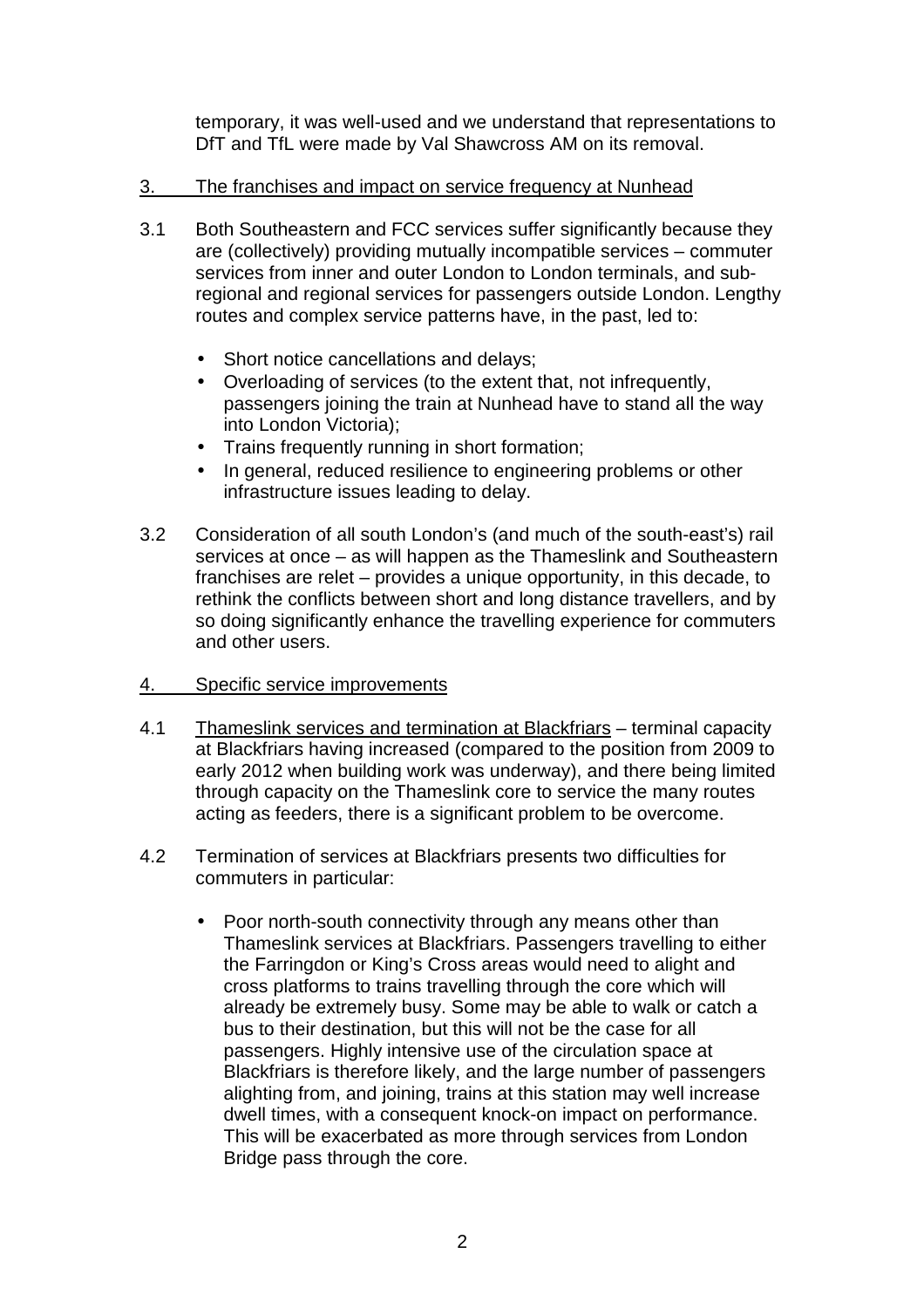temporary, it was well-used and we understand that representations to DfT and TfL were made by Val Shawcross AM on its removal.

# 3. The franchises and impact on service frequency at Nunhead

- 3.1 Both Southeastern and FCC services suffer significantly because they are (collectively) providing mutually incompatible services – commuter services from inner and outer London to London terminals, and subregional and regional services for passengers outside London. Lengthy routes and complex service patterns have, in the past, led to:
	- Short notice cancellations and delays;
	- Overloading of services (to the extent that, not infrequently, passengers joining the train at Nunhead have to stand all the way into London Victoria);
	- Trains frequently running in short formation;
	- In general, reduced resilience to engineering problems or other infrastructure issues leading to delay.
- 3.2 Consideration of all south London's (and much of the south-east's) rail services at once – as will happen as the Thameslink and Southeastern franchises are relet – provides a unique opportunity, in this decade, to rethink the conflicts between short and long distance travellers, and by so doing significantly enhance the travelling experience for commuters and other users.
- 4. Specific service improvements
- 4.1 Thameslink services and termination at Blackfriars terminal capacity at Blackfriars having increased (compared to the position from 2009 to early 2012 when building work was underway), and there being limited through capacity on the Thameslink core to service the many routes acting as feeders, there is a significant problem to be overcome.
- 4.2 Termination of services at Blackfriars presents two difficulties for commuters in particular:
	- Poor north-south connectivity through any means other than Thameslink services at Blackfriars. Passengers travelling to either the Farringdon or King's Cross areas would need to alight and cross platforms to trains travelling through the core which will already be extremely busy. Some may be able to walk or catch a bus to their destination, but this will not be the case for all passengers. Highly intensive use of the circulation space at Blackfriars is therefore likely, and the large number of passengers alighting from, and joining, trains at this station may well increase dwell times, with a consequent knock-on impact on performance. This will be exacerbated as more through services from London Bridge pass through the core.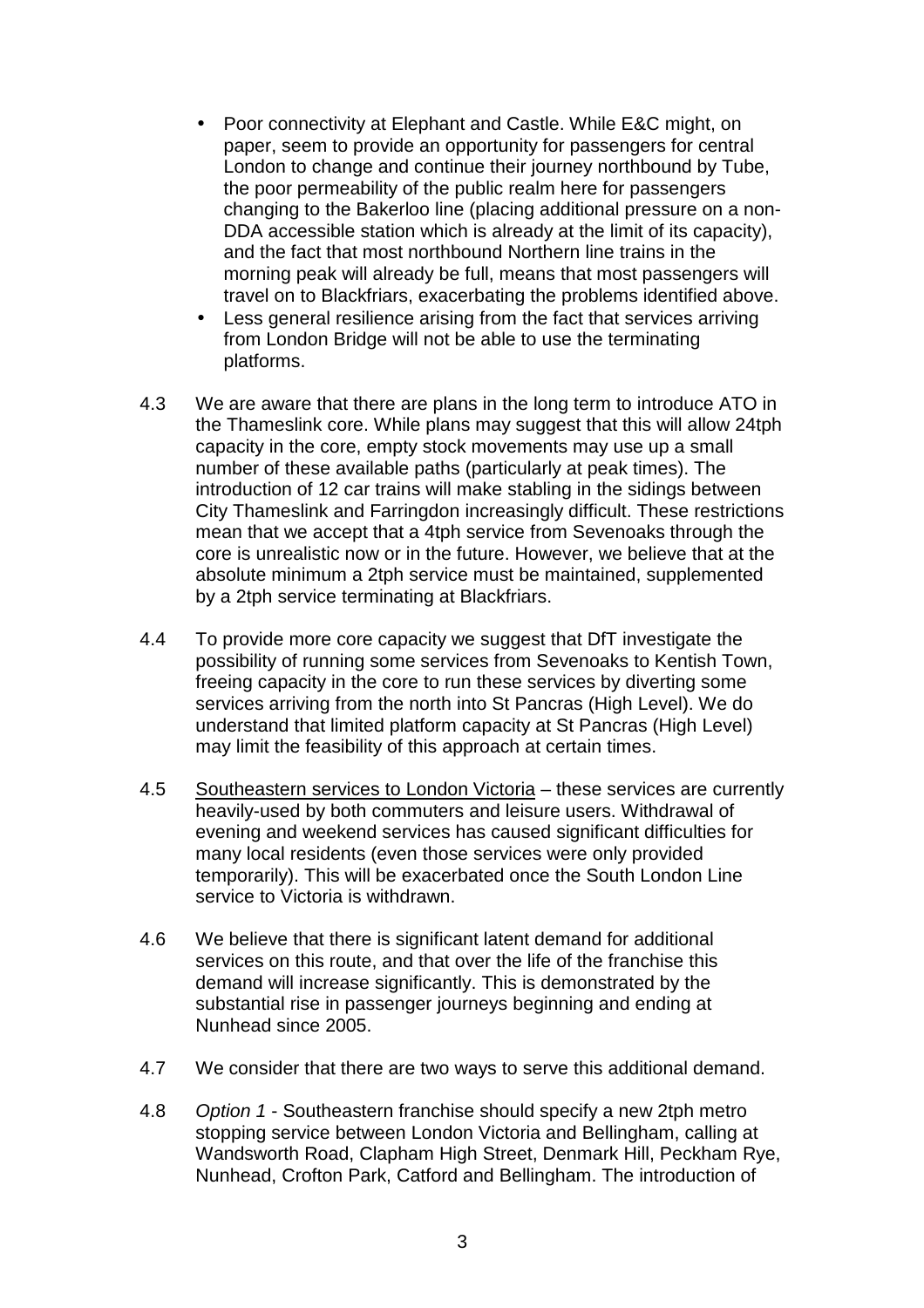- Poor connectivity at Elephant and Castle. While E&C might, on paper, seem to provide an opportunity for passengers for central London to change and continue their journey northbound by Tube, the poor permeability of the public realm here for passengers changing to the Bakerloo line (placing additional pressure on a non-DDA accessible station which is already at the limit of its capacity), and the fact that most northbound Northern line trains in the morning peak will already be full, means that most passengers will travel on to Blackfriars, exacerbating the problems identified above.
- Less general resilience arising from the fact that services arriving from London Bridge will not be able to use the terminating platforms.
- 4.3 We are aware that there are plans in the long term to introduce ATO in the Thameslink core. While plans may suggest that this will allow 24tph capacity in the core, empty stock movements may use up a small number of these available paths (particularly at peak times). The introduction of 12 car trains will make stabling in the sidings between City Thameslink and Farringdon increasingly difficult. These restrictions mean that we accept that a 4tph service from Sevenoaks through the core is unrealistic now or in the future. However, we believe that at the absolute minimum a 2tph service must be maintained, supplemented by a 2tph service terminating at Blackfriars.
- 4.4 To provide more core capacity we suggest that DfT investigate the possibility of running some services from Sevenoaks to Kentish Town, freeing capacity in the core to run these services by diverting some services arriving from the north into St Pancras (High Level). We do understand that limited platform capacity at St Pancras (High Level) may limit the feasibility of this approach at certain times.
- 4.5 Southeastern services to London Victoria these services are currently heavily-used by both commuters and leisure users. Withdrawal of evening and weekend services has caused significant difficulties for many local residents (even those services were only provided temporarily). This will be exacerbated once the South London Line service to Victoria is withdrawn
- 4.6 We believe that there is significant latent demand for additional services on this route, and that over the life of the franchise this demand will increase significantly. This is demonstrated by the substantial rise in passenger journeys beginning and ending at Nunhead since 2005.
- 4.7 We consider that there are two ways to serve this additional demand.
- 4.8 Option 1 Southeastern franchise should specify a new 2tph metro stopping service between London Victoria and Bellingham, calling at Wandsworth Road, Clapham High Street, Denmark Hill, Peckham Rye, Nunhead, Crofton Park, Catford and Bellingham. The introduction of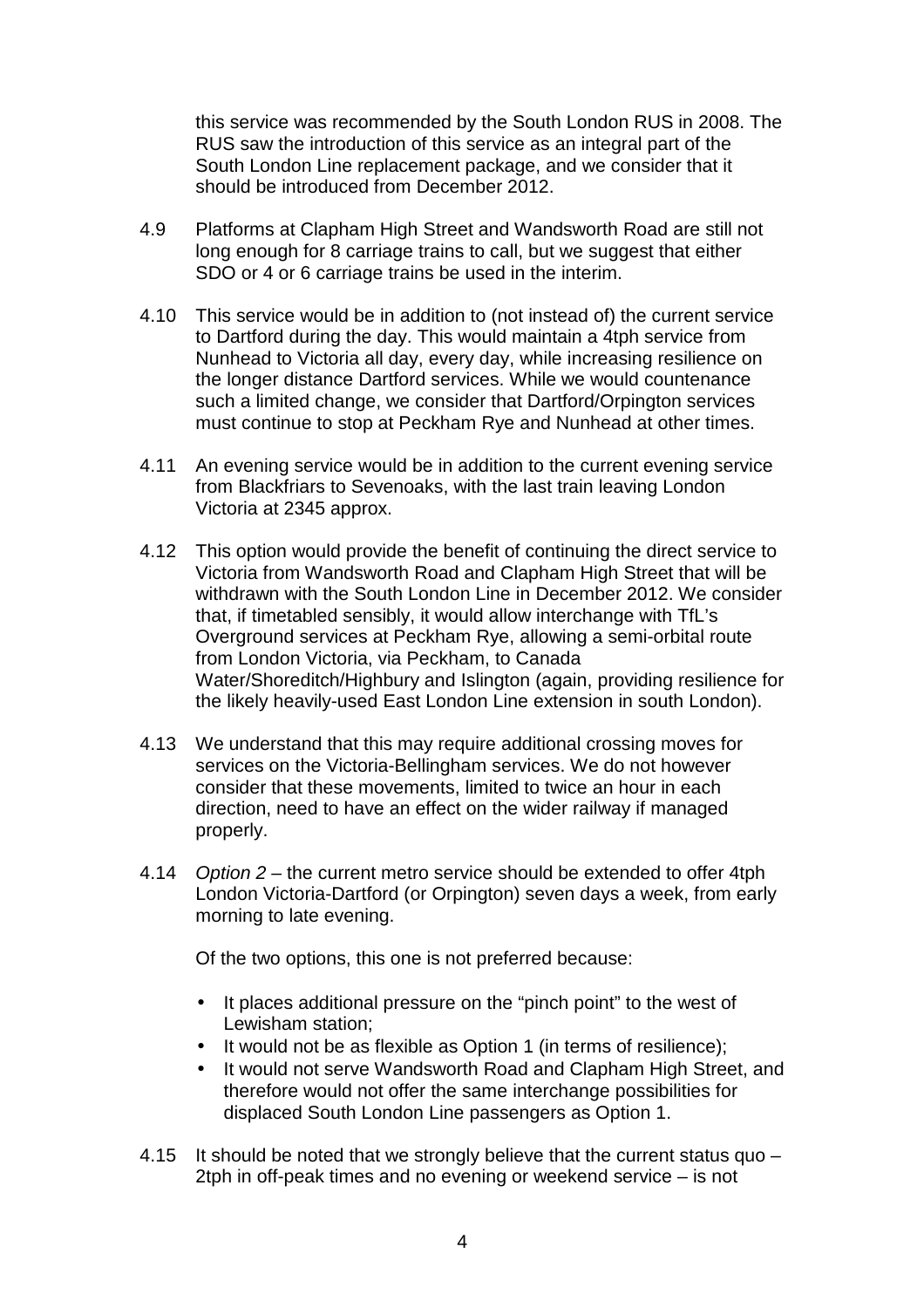this service was recommended by the South London RUS in 2008. The RUS saw the introduction of this service as an integral part of the South London Line replacement package, and we consider that it should be introduced from December 2012.

- 4.9 Platforms at Clapham High Street and Wandsworth Road are still not long enough for 8 carriage trains to call, but we suggest that either SDO or 4 or 6 carriage trains be used in the interim.
- 4.10 This service would be in addition to (not instead of) the current service to Dartford during the day. This would maintain a 4tph service from Nunhead to Victoria all day, every day, while increasing resilience on the longer distance Dartford services. While we would countenance such a limited change, we consider that Dartford/Orpington services must continue to stop at Peckham Rye and Nunhead at other times.
- 4.11 An evening service would be in addition to the current evening service from Blackfriars to Sevenoaks, with the last train leaving London Victoria at 2345 approx.
- 4.12 This option would provide the benefit of continuing the direct service to Victoria from Wandsworth Road and Clapham High Street that will be withdrawn with the South London Line in December 2012. We consider that, if timetabled sensibly, it would allow interchange with TfL's Overground services at Peckham Rye, allowing a semi-orbital route from London Victoria, via Peckham, to Canada Water/Shoreditch/Highbury and Islington (again, providing resilience for the likely heavily-used East London Line extension in south London).
- 4.13 We understand that this may require additional crossing moves for services on the Victoria-Bellingham services. We do not however consider that these movements, limited to twice an hour in each direction, need to have an effect on the wider railway if managed properly.
- 4.14 Option 2 the current metro service should be extended to offer 4tph London Victoria-Dartford (or Orpington) seven days a week, from early morning to late evening.

Of the two options, this one is not preferred because:

- It places additional pressure on the "pinch point" to the west of Lewisham station;
- It would not be as flexible as Option 1 (in terms of resilience);
- It would not serve Wandsworth Road and Clapham High Street, and therefore would not offer the same interchange possibilities for displaced South London Line passengers as Option 1.
- 4.15 It should be noted that we strongly believe that the current status quo 2tph in off-peak times and no evening or weekend service – is not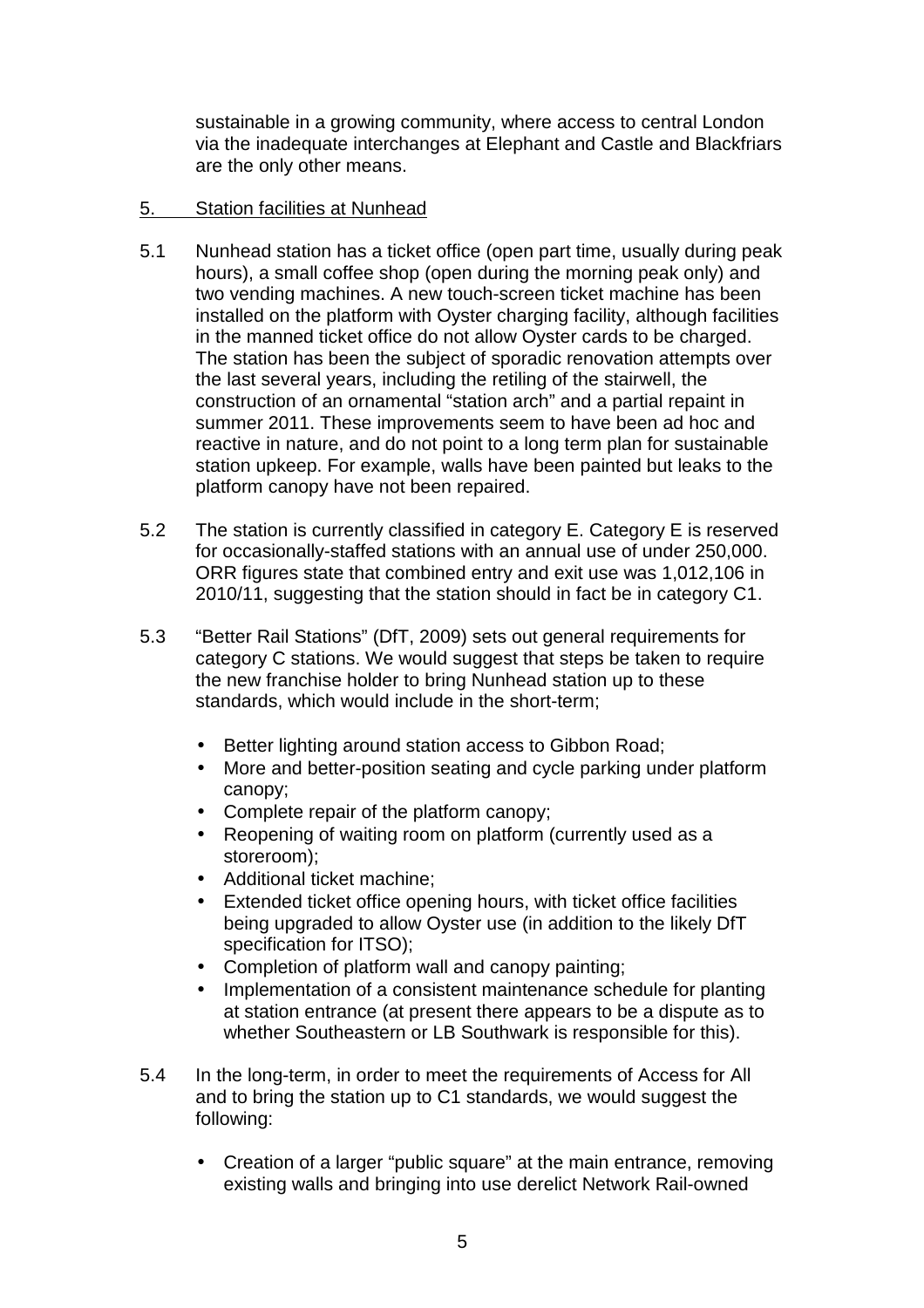sustainable in a growing community, where access to central London via the inadequate interchanges at Elephant and Castle and Blackfriars are the only other means.

# 5. Station facilities at Nunhead

- 5.1 Nunhead station has a ticket office (open part time, usually during peak hours), a small coffee shop (open during the morning peak only) and two vending machines. A new touch-screen ticket machine has been installed on the platform with Oyster charging facility, although facilities in the manned ticket office do not allow Oyster cards to be charged. The station has been the subject of sporadic renovation attempts over the last several years, including the retiling of the stairwell, the construction of an ornamental "station arch" and a partial repaint in summer 2011. These improvements seem to have been ad hoc and reactive in nature, and do not point to a long term plan for sustainable station upkeep. For example, walls have been painted but leaks to the platform canopy have not been repaired.
- 5.2 The station is currently classified in category E. Category E is reserved for occasionally-staffed stations with an annual use of under 250,000. ORR figures state that combined entry and exit use was 1,012,106 in 2010/11, suggesting that the station should in fact be in category C1.
- 5.3 "Better Rail Stations" (DfT, 2009) sets out general requirements for category C stations. We would suggest that steps be taken to require the new franchise holder to bring Nunhead station up to these standards, which would include in the short-term;
	- Better lighting around station access to Gibbon Road;
	- More and better-position seating and cycle parking under platform canopy;
	- Complete repair of the platform canopy;
	- Reopening of waiting room on platform (currently used as a storeroom);
	- Additional ticket machine;
	- Extended ticket office opening hours, with ticket office facilities being upgraded to allow Oyster use (in addition to the likely DfT specification for ITSO);
	- Completion of platform wall and canopy painting;
	- Implementation of a consistent maintenance schedule for planting at station entrance (at present there appears to be a dispute as to whether Southeastern or LB Southwark is responsible for this).
- 5.4 In the long-term, in order to meet the requirements of Access for All and to bring the station up to C1 standards, we would suggest the following:
	- Creation of a larger "public square" at the main entrance, removing existing walls and bringing into use derelict Network Rail-owned